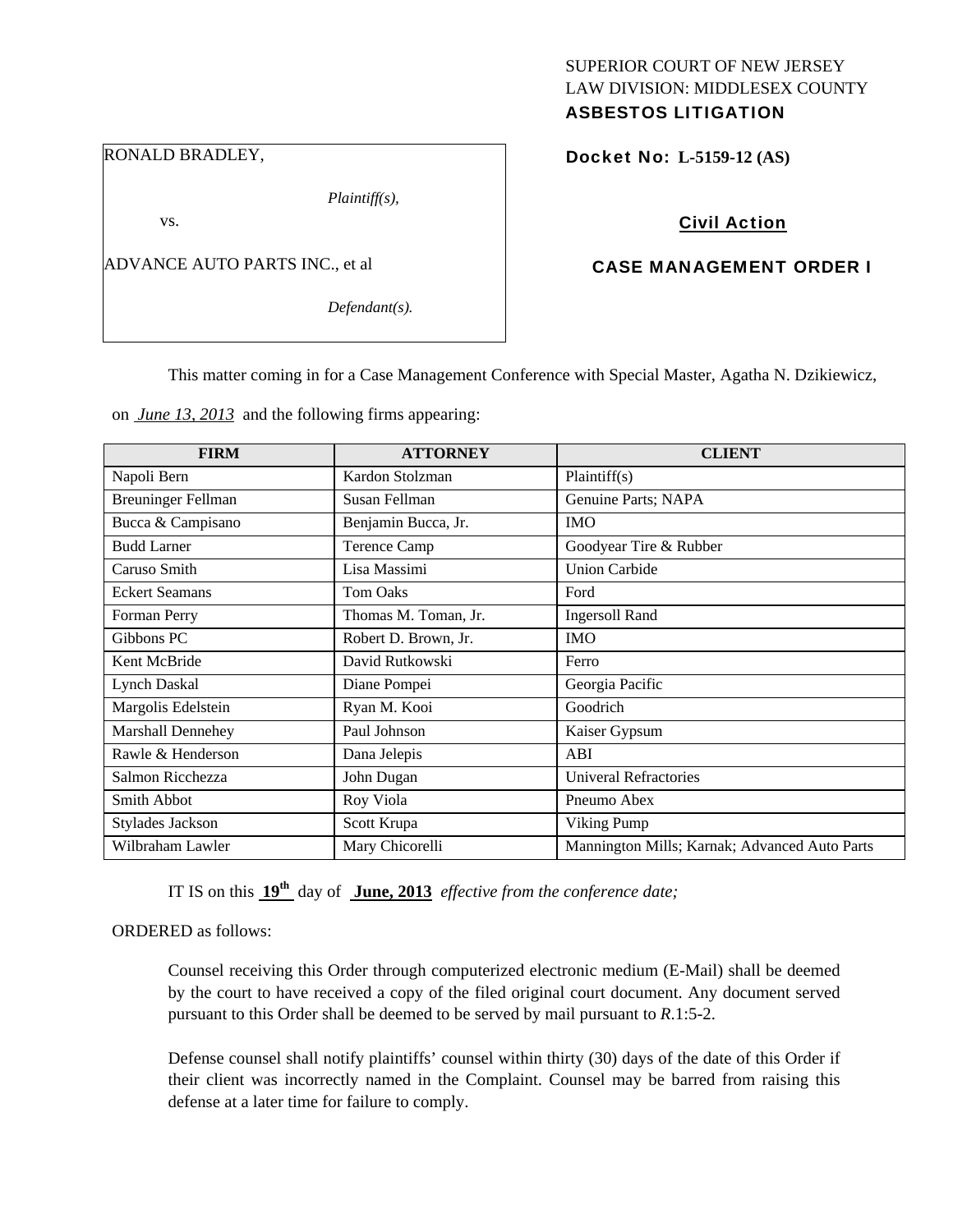#### RONALD BRADLEY,

*Plaintiff(s),* 

vs.

ADVANCE AUTO PARTS INC., et al

*Defendant(s).* 

# SUPERIOR COURT OF NEW JERSEY LAW DIVISION: MIDDLESEX COUNTY ASBESTOS LITIGATION

Docket No: **L-5159-12 (AS)** 

# Civil Action

# CASE MANAGEMENT ORDER I

This matter coming in for a Case Management Conference with Special Master, Agatha N. Dzikiewicz,

on *June 13, 2013* and the following firms appearing:

| <b>FIRM</b>               | <b>ATTORNEY</b>      | <b>CLIENT</b>                                 |
|---------------------------|----------------------|-----------------------------------------------|
| Napoli Bern               | Kardon Stolzman      | Plaintiff(s)                                  |
| <b>Breuninger Fellman</b> | Susan Fellman        | Genuine Parts; NAPA                           |
| Bucca & Campisano         | Benjamin Bucca, Jr.  | <b>IMO</b>                                    |
| <b>Budd Larner</b>        | Terence Camp         | Goodyear Tire & Rubber                        |
| Caruso Smith              | Lisa Massimi         | <b>Union Carbide</b>                          |
| <b>Eckert Seamans</b>     | <b>Tom Oaks</b>      | Ford                                          |
| Forman Perry              | Thomas M. Toman, Jr. | <b>Ingersoll Rand</b>                         |
| Gibbons PC                | Robert D. Brown, Jr. | <b>IMO</b>                                    |
| Kent McBride              | David Rutkowski      | Ferro                                         |
| Lynch Daskal              | Diane Pompei         | Georgia Pacific                               |
| Margolis Edelstein        | Ryan M. Kooi         | Goodrich                                      |
| Marshall Dennehey         | Paul Johnson         | Kaiser Gypsum                                 |
| Rawle & Henderson         | Dana Jelepis         | ABI                                           |
| Salmon Ricchezza          | John Dugan           | <b>Univeral Refractories</b>                  |
| <b>Smith Abbot</b>        | Roy Viola            | Pneumo Abex                                   |
| Stylades Jackson          | Scott Krupa          | Viking Pump                                   |
| Wilbraham Lawler          | Mary Chicorelli      | Mannington Mills; Karnak; Advanced Auto Parts |

IT IS on this **19th** day of **June, 2013** *effective from the conference date;*

## ORDERED as follows:

Counsel receiving this Order through computerized electronic medium (E-Mail) shall be deemed by the court to have received a copy of the filed original court document. Any document served pursuant to this Order shall be deemed to be served by mail pursuant to *R*.1:5-2.

Defense counsel shall notify plaintiffs' counsel within thirty (30) days of the date of this Order if their client was incorrectly named in the Complaint. Counsel may be barred from raising this defense at a later time for failure to comply.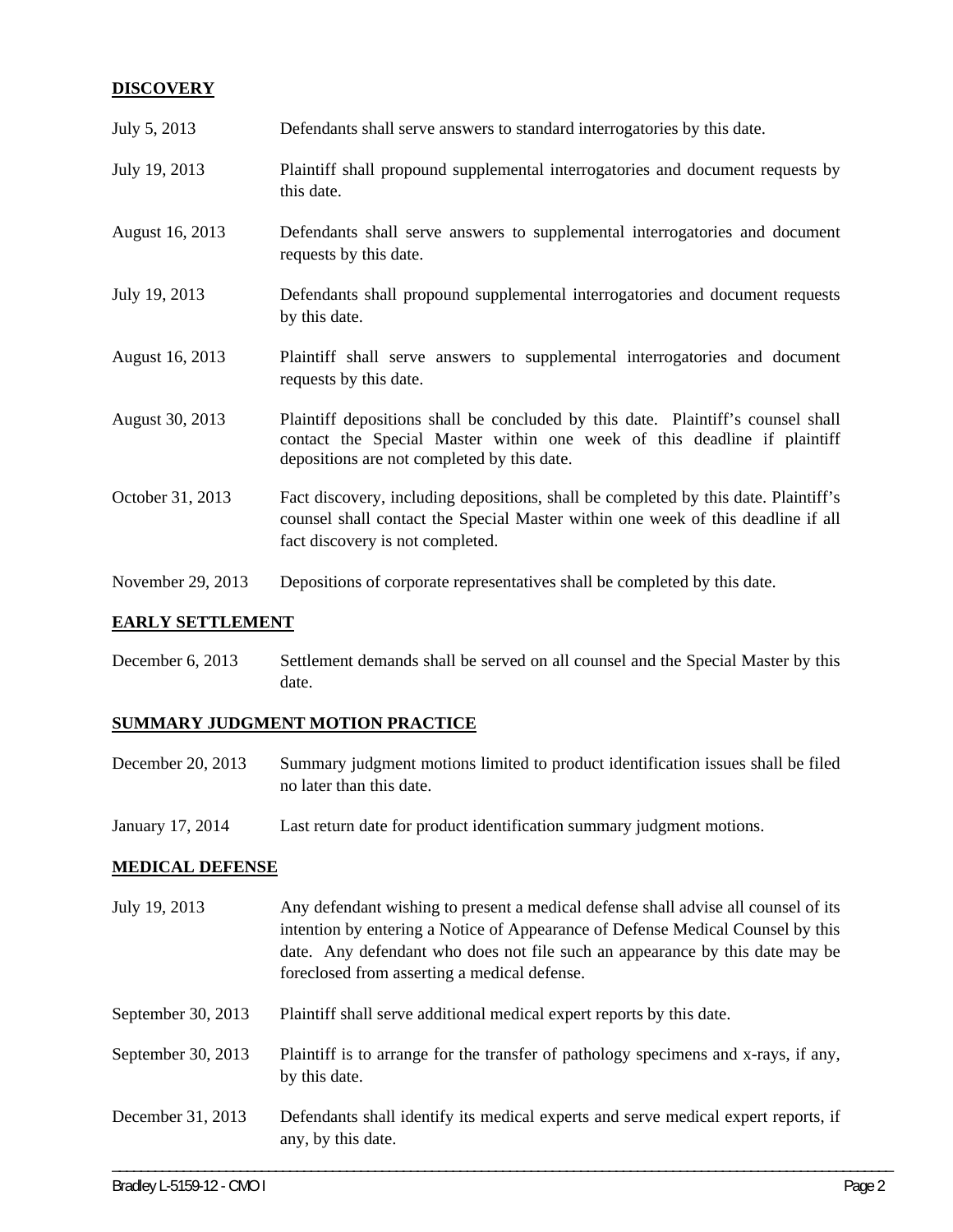# **DISCOVERY**

| July 5, 2013      | Defendants shall serve answers to standard interrogatories by this date.                                                                                                                                    |
|-------------------|-------------------------------------------------------------------------------------------------------------------------------------------------------------------------------------------------------------|
| July 19, 2013     | Plaintiff shall propound supplemental interrogatories and document requests by<br>this date.                                                                                                                |
| August 16, 2013   | Defendants shall serve answers to supplemental interrogatories and document<br>requests by this date.                                                                                                       |
| July 19, 2013     | Defendants shall propound supplemental interrogatories and document requests<br>by this date.                                                                                                               |
| August 16, 2013   | Plaintiff shall serve answers to supplemental interrogatories and document<br>requests by this date.                                                                                                        |
| August 30, 2013   | Plaintiff depositions shall be concluded by this date. Plaintiff's counsel shall<br>contact the Special Master within one week of this deadline if plaintiff<br>depositions are not completed by this date. |
| October 31, 2013  | Fact discovery, including depositions, shall be completed by this date. Plaintiff's<br>counsel shall contact the Special Master within one week of this deadline if all<br>fact discovery is not completed. |
| November 29, 2013 | Depositions of corporate representatives shall be completed by this date.                                                                                                                                   |

## **EARLY SETTLEMENT**

December 6, 2013 Settlement demands shall be served on all counsel and the Special Master by this date.

# **SUMMARY JUDGMENT MOTION PRACTICE**

- December 20, 2013 Summary judgment motions limited to product identification issues shall be filed no later than this date.
- January 17, 2014 Last return date for product identification summary judgment motions.

## **MEDICAL DEFENSE**

\_\_\_\_\_\_\_\_\_\_\_\_\_\_\_\_\_\_\_\_\_\_\_\_\_\_\_\_\_\_\_\_\_\_\_\_\_\_\_\_\_\_\_\_\_\_\_\_\_\_\_\_\_\_\_\_\_\_\_\_\_\_\_\_\_\_\_\_\_\_\_\_\_\_\_\_\_\_\_\_\_\_\_\_\_\_\_\_\_\_\_\_\_\_\_\_\_\_\_\_\_\_\_\_\_\_\_\_\_\_ July 19, 2013 Any defendant wishing to present a medical defense shall advise all counsel of its intention by entering a Notice of Appearance of Defense Medical Counsel by this date. Any defendant who does not file such an appearance by this date may be foreclosed from asserting a medical defense. September 30, 2013 Plaintiff shall serve additional medical expert reports by this date. September 30, 2013 Plaintiff is to arrange for the transfer of pathology specimens and x-rays, if any, by this date. December 31, 2013 Defendants shall identify its medical experts and serve medical expert reports, if any, by this date.